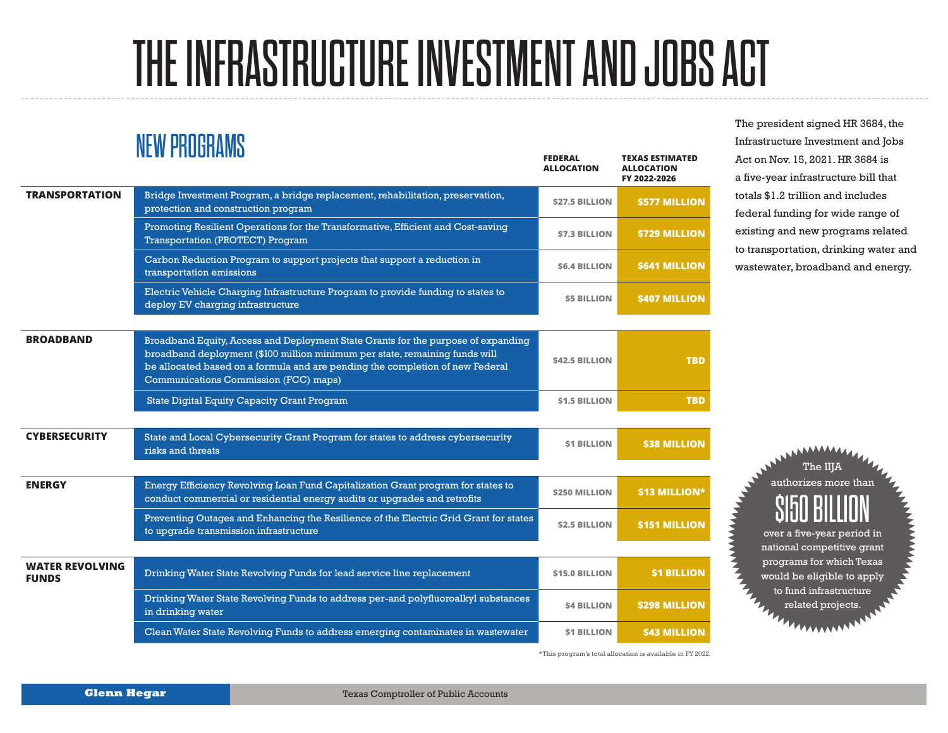## THE INFRASTRUCTURE INVESTMENT AND JOBS ACT

## NEW PROGRAMS

|                                        | .                                                                                                                                                                                                                                                                                          | <b>FEDERAL</b><br><b>ALLOCATION</b> | <b>TEXAS ESTIMATED</b><br><b>ALLOCATION</b><br>FY 2022-2026 |
|----------------------------------------|--------------------------------------------------------------------------------------------------------------------------------------------------------------------------------------------------------------------------------------------------------------------------------------------|-------------------------------------|-------------------------------------------------------------|
| <b>TRANSPORTATION</b>                  | Bridge Investment Program, a bridge replacement, rehabilitation, preservation,<br>protection and construction program                                                                                                                                                                      | <b>\$27.5 BILLION</b>               | \$577 MILLION                                               |
|                                        | Promoting Resilient Operations for the Transformative, Efficient and Cost-saving<br><b>Transportation (PROTECT) Program</b>                                                                                                                                                                | <b>\$7.3 BILLION</b>                | <b>\$729 MILLION</b>                                        |
|                                        | Carbon Reduction Program to support projects that support a reduction in<br>transportation emissions                                                                                                                                                                                       | <b>S6.4 BILLION</b>                 | <b>S641 MILLION</b>                                         |
|                                        | Electric Vehicle Charging Infrastructure Program to provide funding to states to<br>deploy EV charging infrastructure                                                                                                                                                                      | <b>\$5 BILLION</b>                  | <b>\$407 MILLION</b>                                        |
|                                        |                                                                                                                                                                                                                                                                                            |                                     |                                                             |
| <b>BROADBAND</b>                       | Broadband Equity, Access and Deployment State Grants for the purpose of expanding<br>broadband deployment (\$100 million minimum per state, remaining funds will<br>be allocated based on a formula and are pending the completion of new Federal<br>Communications Commission (FCC) maps) | <b>S42.5 BILLION</b>                | <b>TBD</b>                                                  |
|                                        | <b>State Digital Equity Capacity Grant Program</b>                                                                                                                                                                                                                                         | <b>\$1.5 BILLION</b>                | <b>TBD</b>                                                  |
|                                        |                                                                                                                                                                                                                                                                                            |                                     |                                                             |
| <b>CYBERSECURITY</b>                   | State and Local Cybersecurity Grant Program for states to address cybersecurity<br>risks and threats                                                                                                                                                                                       | <b>S1 BILLION</b>                   | <b>S38 MILLION</b>                                          |
|                                        |                                                                                                                                                                                                                                                                                            |                                     |                                                             |
| <b>ENERGY</b>                          | Energy Efficiency Revolving Loan Fund Capitalization Grant program for states to<br>conduct commercial or residential energy audits or upgrades and retrofits                                                                                                                              | <b>\$250 MILLION</b>                | \$13 MILLION*                                               |
|                                        | Preventing Outages and Enhancing the Resilience of the Electric Grid Grant for states<br>to upgrade transmission infrastructure                                                                                                                                                            | <b>\$2.5 BILLION</b>                | <b>\$151 MILLION</b>                                        |
|                                        |                                                                                                                                                                                                                                                                                            |                                     |                                                             |
| <b>WATER REVOLVING</b><br><b>FUNDS</b> | Drinking Water State Revolving Funds for lead service line replacement                                                                                                                                                                                                                     | <b>\$15.0 BILLION</b>               | <b>S1 BILLION</b>                                           |
|                                        | Drinking Water State Revolving Funds to address per-and polyfluoroalkyl substances<br>in drinking water                                                                                                                                                                                    | <b>S4 BILLION</b>                   | <b>\$298 MILLION</b>                                        |
|                                        | Clean Water State Revolving Funds to address emerging contaminates in wastewater                                                                                                                                                                                                           | <b>S1 BILLION</b>                   | <b>\$43 MILLION</b>                                         |

\*This program's total allocation is available in FY 2022.

The president signed HR 3684, the Infrastructure Investment and Jobs Act on Nov. 15, 2021. HR 3684 is a five-year infrastructure bill that totals \$1.2 trillion and includes federal funding for wide range of existing and new programs related to transportation, drinking water and wastewater, broadband and energy.

> authorizes more than \$150 BILLION over a five-year period in national competitive grant programs for which Texas would be eligible to apply to fund infrastructure related projects.

The IIJA